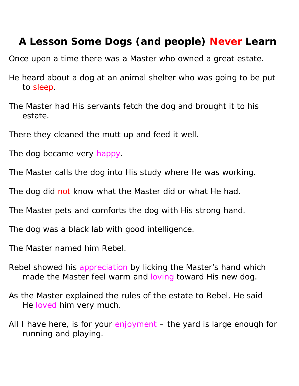## **A Lesson Some Dogs (and people) Never Learn**

Once upon a time there was a Master who owned a great estate.

- He heard about a dog at an animal shelter who was going to be put to sleep.
- The Master had His servants fetch the dog and brought it to his estate.
- There they cleaned the mutt up and feed it well.
- The dog became very happy.
- The Master calls the dog into His study where He was working.
- The dog did not know what the Master did or what He had.
- The Master pets and comforts the dog with His strong hand.
- The dog was a black lab with good intelligence.
- The Master named him Rebel.
- Rebel showed his appreciation by licking the Master's hand which made the Master feel warm and loving toward His new dog.
- As the Master explained the rules of the estate to Rebel, He said He loved him very much.
- All I have here, is for your enjoyment the yard is large enough for running and playing.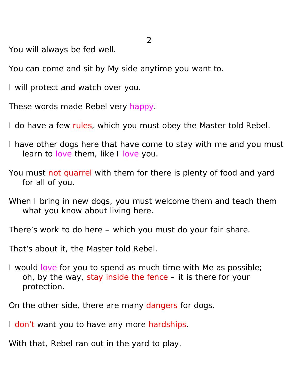You will always be fed well.

You can come and sit by My side anytime you want to.

I will protect and watch over you.

These words made Rebel very happy.

I do have a few rules, which you must obey the Master told Rebel.

I have other dogs here that have come to stay with me and you must learn to love them, like I love you.

You must not quarrel with them for there is plenty of food and yard for all of you.

When I bring in new dogs, you must welcome them and teach them what you know about living here.

There's work to do here – which you must do your fair share.

That's about it, the Master told Rebel.

I would love for you to spend as much time with Me as possible; oh, by the way, stay inside the fence – it is there for your protection.

On the other side, there are many dangers for dogs.

I don't want you to have any more hardships.

With that, Rebel ran out in the yard to play.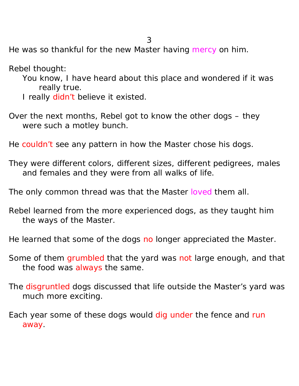He was so thankful for the new Master having mercy on him.

Rebel thought:

- You know, I have heard about this place and wondered if it was really true.
- I really didn't believe it existed.
- Over the next months, Rebel got to know the other dogs they were such a motley bunch.

He couldn't see any pattern in how the Master chose his dogs.

- They were different colors, different sizes, different pedigrees, males and females and they were from all walks of life.
- The only common thread was that the Master loved them all.
- Rebel learned from the more experienced dogs, as they taught him the ways of the Master.

He learned that some of the dogs no longer appreciated the Master.

- Some of them grumbled that the yard was not large enough, and that the food was always the same.
- The disgruntled dogs discussed that life outside the Master's yard was much more exciting.
- Each year some of these dogs would dig under the fence and run away.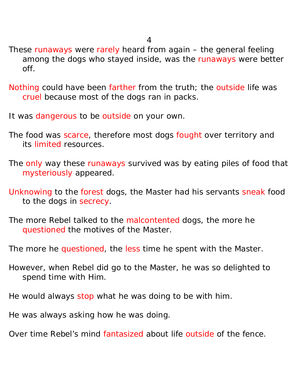- These runaways were rarely heard from again the general feeling among the dogs who stayed inside, was the runaways were better off.
- Nothing could have been farther from the truth; the outside life was cruel because most of the dogs ran in packs.
- It was dangerous to be outside on your own.
- The food was scarce, therefore most dogs fought over territory and its limited resources.
- The only way these runaways survived was by eating piles of food that mysteriously appeared.
- Unknowing to the forest dogs, the Master had his servants sneak food to the dogs in secrecy.
- The more Rebel talked to the malcontented dogs, the more he questioned the motives of the Master.
- The more he questioned, the less time he spent with the Master.
- However, when Rebel did go to the Master, he was so delighted to spend time with Him.
- He would always stop what he was doing to be with him.
- He was always asking how he was doing.
- Over time Rebel's mind fantasized about life outside of the fence.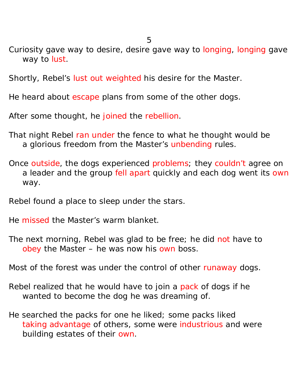5

- Curiosity gave way to desire, desire gave way to longing, longing gave way to lust.
- Shortly, Rebel's lust out weighted his desire for the Master.
- He heard about escape plans from some of the other dogs.
- After some thought, he joined the rebellion.
- That night Rebel ran under the fence to what he thought would be a glorious freedom from the Master's unbending rules.
- Once outside, the dogs experienced problems; they couldn't agree on a leader and the group fell apart quickly and each dog went its own way.
- Rebel found a place to sleep under the stars.
- He missed the Master's warm blanket.
- The next morning, Rebel was glad to be free; he did not have to obey the Master – he was now his own boss.
- Most of the forest was under the control of other runaway dogs.
- Rebel realized that he would have to join a pack of dogs if he wanted to become the dog he was dreaming of.
- He searched the packs for one he liked; some packs liked taking advantage of others, some were industrious and were building estates of their own.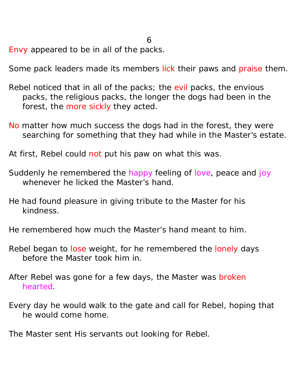Envy appeared to be in all of the packs.

Some pack leaders made its members lick their paws and praise them.

- Rebel noticed that in all of the packs; the evil packs, the envious packs, the religious packs, the longer the dogs had been in the forest, the more sickly they acted.
- No matter how much success the dogs had in the forest, they were searching for something that they had while in the Master's estate.
- At first, Rebel could not put his paw on what this was.
- Suddenly he remembered the happy feeling of love, peace and joy whenever he licked the Master's hand.
- He had found pleasure in giving tribute to the Master for his kindness.
- He remembered how much the Master's hand meant to him.
- Rebel began to lose weight, for he remembered the lonely days before the Master took him in.
- After Rebel was gone for a few days, the Master was broken hearted.
- Every day he would walk to the gate and call for Rebel, hoping that he would come home.

The Master sent His servants out looking for Rebel.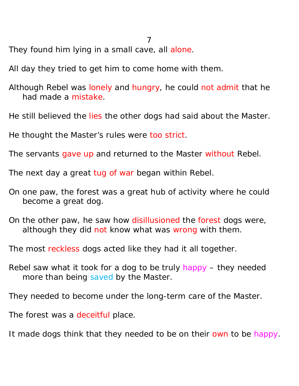They found him lying in a small cave, all alone.

All day they tried to get him to come home with them.

Although Rebel was lonely and hungry, he could not admit that he had made a mistake.

He still believed the lies the other dogs had said about the Master.

He thought the Master's rules were too strict.

The servants gave up and returned to the Master without Rebel.

The next day a great tug of war began within Rebel.

- On one paw, the forest was a great hub of activity where he could become a great dog.
- On the other paw, he saw how disillusioned the forest dogs were, although they did not know what was wrong with them.

The most reckless dogs acted like they had it all together.

Rebel saw what it took for a dog to be truly happy – they needed more than being saved by the Master.

They needed to become under the long-term care of the Master.

The forest was a deceitful place.

It made dogs think that they needed to be on their own to be happy.